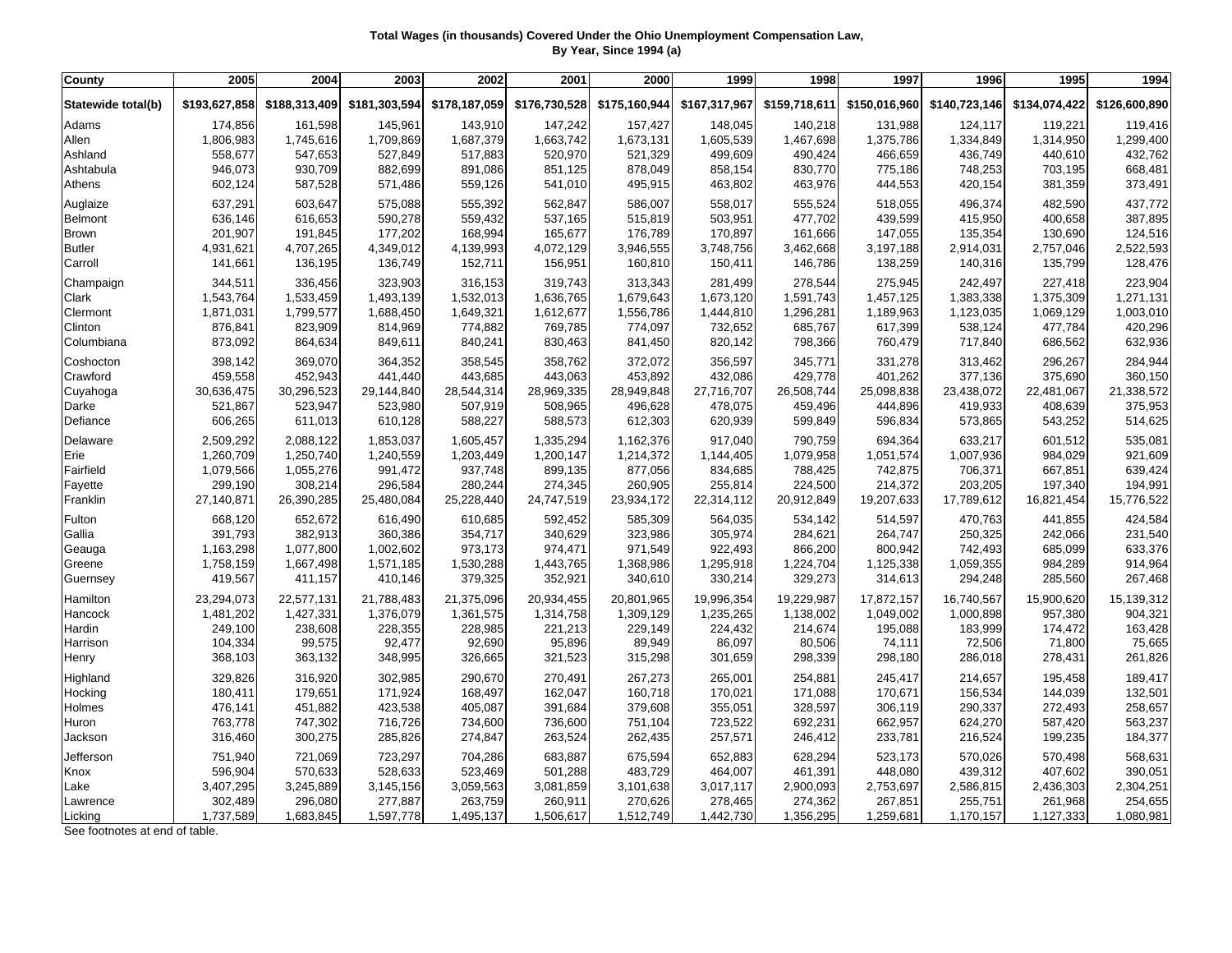## **Total Wages (in thousands) Covered Under the Ohio Unemployment Compensation Law, By Year, Since 1994 (a)**

| County             | 2005          | 2004          | 2003          | 2002          | 2001          | 2000          | 1999          | 1998          | 1997          | 1996          | 1995          | 1994          |
|--------------------|---------------|---------------|---------------|---------------|---------------|---------------|---------------|---------------|---------------|---------------|---------------|---------------|
| Statewide total(b) | \$193,627,858 | \$188,313,409 | \$181,303,594 | \$178,187,059 | \$176,730,528 | \$175,160,944 | \$167,317,967 | \$159,718,611 | \$150,016,960 | \$140,723,146 | \$134,074,422 | \$126,600,890 |
| Adams              | 174,856       | 161,598       | 145,961       | 143,910       | 147,242       | 157,427       | 148,045       | 140,218       | 131,988       | 124,117       | 119,221       | 119,416       |
| Allen              | 1,806,983     | 1,745,616     | 1,709,869     | 1,687,379     | 1,663,742     | 1,673,131     | 1,605,539     | 1,467,698     | 1,375,786     | 1,334,849     | 1,314,950     | 1,299,400     |
| Ashland            | 558,677       | 547,653       | 527,849       | 517,883       | 520,970       | 521,329       | 499,609       | 490,424       | 466,659       | 436,749       | 440,610       | 432,762       |
| Ashtabula          | 946,073       | 930,709       | 882,699       | 891,086       | 851,125       | 878,049       | 858,154       | 830,770       | 775,186       | 748,253       | 703,195       | 668,481       |
| Athens             | 602,124       | 587,528       | 571,486       | 559,126       | 541,010       | 495,915       | 463,802       | 463,976       | 444,553       | 420,154       | 381,359       | 373,491       |
| Auglaize           | 637,291       | 603,647       | 575,088       | 555,392       | 562,847       | 586,007       | 558,017       | 555,524       | 518,055       | 496,374       | 482,590       | 437,772       |
| <b>Belmont</b>     | 636,146       | 616,653       | 590,278       | 559,432       | 537,165       | 515,819       | 503,951       | 477,702       | 439,599       | 415,950       | 400,658       | 387,895       |
| <b>Brown</b>       | 201,907       | 191,845       | 177,202       | 168,994       | 165,677       | 176,789       | 170,897       | 161,666       | 147,055       | 135,354       | 130,690       | 124,516       |
| <b>Butler</b>      | 4,931,621     | 4,707,265     | 4,349,012     | 4,139,993     | 4,072,129     | 3,946,555     | 3,748,756     | 3,462,668     | 3,197,188     | 2,914,031     | 2,757,046     | 2,522,593     |
| Carroll            | 141,661       | 136,195       | 136,749       | 152,711       | 156,951       | 160,810       | 150,411       | 146,786       | 138,259       | 140,316       | 135,799       | 128,476       |
| Champaign          | 344,511       | 336,456       | 323,903       | 316,153       | 319,743       | 313,343       | 281,499       | 278,544       | 275,945       | 242,497       | 227,418       | 223,904       |
| Clark              | 1,543,764     | 1,533,459     | 1,493,139     | 1,532,013     | 1,636,765     | 1,679,643     | 1,673,120     | 1,591,743     | 1,457,125     | 1,383,338     | 1,375,309     | 1,271,131     |
| Clermont           | 1,871,031     | 1,799,577     | 1,688,450     | 1,649,321     | 1,612,677     | 1,556,786     | 1,444,810     | 1,296,281     | 1,189,963     | 1,123,035     | 1,069,129     | 1,003,010     |
| Clinton            | 876,841       | 823,909       | 814,969       | 774,882       | 769,785       | 774,097       | 732,652       | 685,767       | 617,399       | 538,124       | 477,784       | 420,296       |
| Columbiana         | 873,092       | 864,634       | 849,611       | 840,241       | 830,463       | 841,450       | 820,142       | 798,366       | 760,479       | 717,840       | 686,562       | 632,936       |
| Coshocton          | 398,142       | 369,070       | 364,352       | 358,545       | 358,762       | 372,072       | 356,597       | 345,771       | 331,278       | 313,462       | 296,267       | 284,944       |
| Crawford           | 459,558       | 452,943       | 441,440       | 443,685       | 443,063       | 453,892       | 432,086       | 429,778       | 401,262       | 377,136       | 375,690       | 360,150       |
| Cuyahoga           | 30,636,475    | 30,296,523    | 29,144,840    | 28,544,314    | 28,969,335    | 28,949,848    | 27,716,707    | 26,508,744    | 25,098,838    | 23,438,072    | 22,481,067    | 21,338,572    |
| Darke              | 521,867       | 523,947       | 523,980       | 507,919       | 508,965       | 496,628       | 478,075       | 459,496       | 444,896       | 419,933       | 408,639       | 375,953       |
| Defiance           | 606,265       | 611,013       | 610,128       | 588,227       | 588,573       | 612,303       | 620,939       | 599,849       | 596,834       | 573,865       | 543,252       | 514,625       |
| Delaware           | 2,509,292     | 2,088,122     | 1,853,037     | 1,605,457     | 1,335,294     | 1,162,376     | 917,040       | 790,759       | 694,364       | 633,217       | 601,512       | 535,081       |
| Erie               | 1,260,709     | 1,250,740     | 1,240,559     | 1,203,449     | 1,200,147     | 1,214,372     | 1,144,405     | 1,079,958     | 1,051,574     | 1,007,936     | 984,029       | 921,609       |
| Fairfield          | 1,079,566     | 1,055,276     | 991,472       | 937,748       | 899,135       | 877,056       | 834,685       | 788,425       | 742,875       | 706,371       | 667,851       | 639,424       |
| Fayette            | 299,190       | 308,214       | 296,584       | 280,244       | 274,345       | 260,905       | 255,814       | 224,500       | 214,372       | 203,205       | 197,340       | 194,991       |
| Franklin           | 27,140,871    | 26,390,285    | 25,480,084    | 25,228,440    | 24,747,519    | 23,934,172    | 22,314,112    | 20,912,849    | 19,207,633    | 17,789,612    | 16,821,454    | 15,776,522    |
| Fulton             | 668,120       | 652,672       | 616,490       | 610,685       | 592,452       | 585,309       | 564,035       | 534,142       | 514,597       | 470,763       | 441,855       | 424,584       |
| Gallia             | 391,793       | 382,913       | 360,386       | 354,717       | 340,629       | 323,986       | 305,974       | 284,621       | 264,747       | 250,325       | 242,066       | 231,540       |
| Geauga             | 1,163,298     | 1,077,800     | 1,002,602     | 973,173       | 974,471       | 971,549       | 922,493       | 866,200       | 800,942       | 742,493       | 685,099       | 633,376       |
| Greene             | 1,758,159     | 1,667,498     | 1,571,185     | 1,530,288     | 1,443,765     | 1,368,986     | 1,295,918     | 1,224,704     | 1,125,338     | 1,059,355     | 984,289       | 914,964       |
| Guernsey           | 419,567       | 411,157       | 410,146       | 379,325       | 352,921       | 340,610       | 330,214       | 329,273       | 314,613       | 294,248       | 285,560       | 267,468       |
| Hamilton           | 23,294,073    | 22,577,131    | 21,788,483    | 21,375,096    | 20,934,455    | 20,801,965    | 19,996,354    | 19,229,987    | 17,872,157    | 16,740,567    | 15,900,620    | 15,139,312    |
| Hancock            | 1,481,202     | 1,427,331     | 1,376,079     | 1,361,575     | 1,314,758     | 1,309,129     | 1,235,265     | 1,138,002     | 1,049,002     | 1,000,898     | 957,380       | 904,321       |
| Hardin             | 249,100       | 238,608       | 228,355       | 228,985       | 221,213       | 229,149       | 224,432       | 214,674       | 195,088       | 183,999       | 174,472       | 163,428       |
| Harrison           | 104,334       | 99,575        | 92,477        | 92,690        | 95,896        | 89,949        | 86,097        | 80,506        | 74,111        | 72,506        | 71,800        | 75,665        |
| Henry              | 368,103       | 363,132       | 348,995       | 326,665       | 321,523       | 315,298       | 301,659       | 298,339       | 298,180       | 286,018       | 278,431       | 261,826       |
| Highland           | 329,826       | 316,920       | 302,985       | 290,670       | 270,491       | 267,273       | 265,001       | 254,881       | 245,417       | 214,657       | 195,458       | 189,417       |
| Hocking            | 180,411       | 179,651       | 171,924       | 168,497       | 162,047       | 160,718       | 170,021       | 171,088       | 170,671       | 156,534       | 144,039       | 132,501       |
| Holmes             | 476,141       | 451,882       | 423,538       | 405,087       | 391,684       | 379,608       | 355,051       | 328,597       | 306,119       | 290,337       | 272,493       | 258,657       |
| Huron              | 763,778       | 747,302       | 716,726       | 734,600       | 736,600       | 751,104       | 723,522       | 692,231       | 662,957       | 624,270       | 587,420       | 563,237       |
| Jackson            | 316,460       | 300,275       | 285,826       | 274,847       | 263,524       | 262,435       | 257,571       | 246,412       | 233,781       | 216,524       | 199,235       | 184,377       |
| Jefferson          | 751,940       | 721,069       | 723,297       | 704,286       | 683,887       | 675,594       | 652,883       | 628,294       | 523,173       | 570,026       | 570,498       | 568,631       |
| Knox               | 596,904       | 570,633       | 528,633       | 523,469       | 501,288       | 483,729       | 464,007       | 461,391       | 448,080       | 439,312       | 407,602       | 390,051       |
| Lake               | 3,407,295     | 3,245,889     | 3,145,156     | 3,059,563     | 3,081,859     | 3,101,638     | 3,017,117     | 2,900,093     | 2,753,697     | 2,586,815     | 2,436,303     | 2,304,251     |
| Lawrence           | 302,489       | 296,080       | 277,887       | 263,759       | 260,911       | 270,626       | 278,465       | 274,362       | 267,851       | 255,751       | 261,968       | 254,655       |
| Licking            | 1,737,589     | 1,683,845     | 1,597,778     | 1,495,137     | 1,506,617     | 1,512,749     | 1,442,730     | 1,356,295     | 1,259,681     | 1,170,157     | 1,127,333     | 1,080,981     |

See footnotes at end of table.